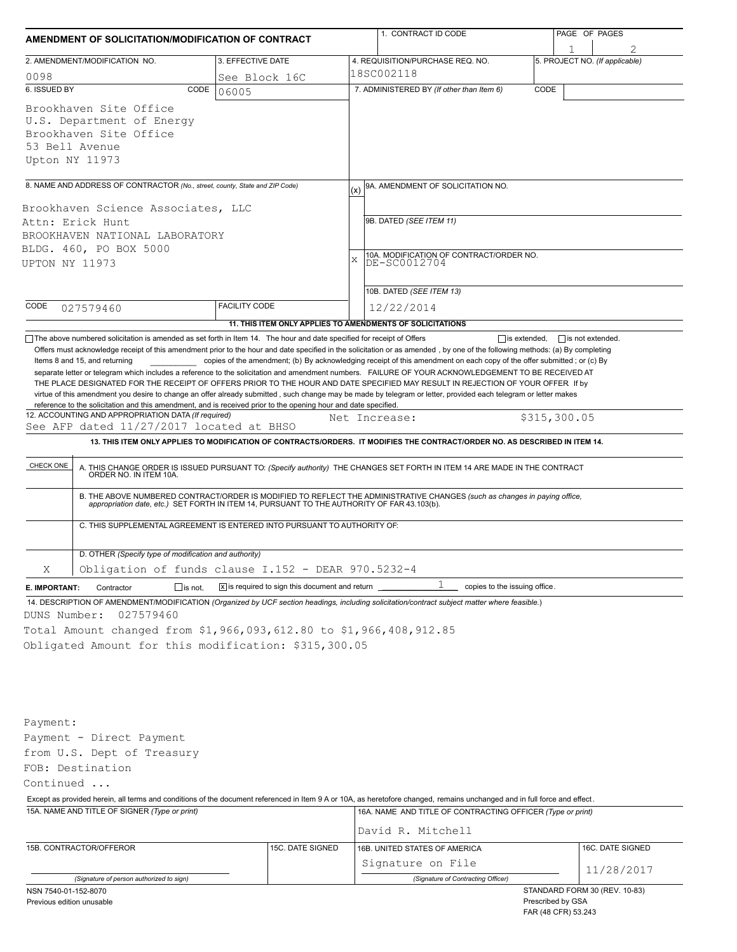|                                                                                                                                                                                                                                                                                                                                                                                                                                                                                                                                                                                                                                                                                                                                                                                                                                                                                                                                                                                                                                                                                                                                                                   | AMENDMENT OF SOLICITATION/MODIFICATION OF CONTRACT                                                                                      |                                                             |   | 1. CONTRACT ID CODE                                                                                                                                                                                                                                          |      | PAGE OF PAGES                                                             |                  |  |  |
|-------------------------------------------------------------------------------------------------------------------------------------------------------------------------------------------------------------------------------------------------------------------------------------------------------------------------------------------------------------------------------------------------------------------------------------------------------------------------------------------------------------------------------------------------------------------------------------------------------------------------------------------------------------------------------------------------------------------------------------------------------------------------------------------------------------------------------------------------------------------------------------------------------------------------------------------------------------------------------------------------------------------------------------------------------------------------------------------------------------------------------------------------------------------|-----------------------------------------------------------------------------------------------------------------------------------------|-------------------------------------------------------------|---|--------------------------------------------------------------------------------------------------------------------------------------------------------------------------------------------------------------------------------------------------------------|------|---------------------------------------------------------------------------|------------------|--|--|
|                                                                                                                                                                                                                                                                                                                                                                                                                                                                                                                                                                                                                                                                                                                                                                                                                                                                                                                                                                                                                                                                                                                                                                   | 2. AMENDMENT/MODIFICATION NO.                                                                                                           | 3. EFFECTIVE DATE                                           |   | 4. REQUISITION/PURCHASE REQ. NO.                                                                                                                                                                                                                             |      | 5. PROJECT NO. (If applicable)                                            |                  |  |  |
| 0098<br>See Block 16C                                                                                                                                                                                                                                                                                                                                                                                                                                                                                                                                                                                                                                                                                                                                                                                                                                                                                                                                                                                                                                                                                                                                             |                                                                                                                                         |                                                             |   | 18SC002118                                                                                                                                                                                                                                                   |      |                                                                           |                  |  |  |
| 6. ISSUED BY                                                                                                                                                                                                                                                                                                                                                                                                                                                                                                                                                                                                                                                                                                                                                                                                                                                                                                                                                                                                                                                                                                                                                      | CODE                                                                                                                                    | 06005                                                       |   | 7. ADMINISTERED BY (If other than Item 6)                                                                                                                                                                                                                    | CODE |                                                                           |                  |  |  |
| Upton NY 11973                                                                                                                                                                                                                                                                                                                                                                                                                                                                                                                                                                                                                                                                                                                                                                                                                                                                                                                                                                                                                                                                                                                                                    | Brookhaven Site Office<br>U.S. Department of Energy<br>Brookhaven Site Office<br>53 Bell Avenue                                         |                                                             |   |                                                                                                                                                                                                                                                              |      |                                                                           |                  |  |  |
|                                                                                                                                                                                                                                                                                                                                                                                                                                                                                                                                                                                                                                                                                                                                                                                                                                                                                                                                                                                                                                                                                                                                                                   | 8. NAME AND ADDRESS OF CONTRACTOR (No., street, county, State and ZIP Code)                                                             |                                                             |   | 9A. AMENDMENT OF SOLICITATION NO.                                                                                                                                                                                                                            |      |                                                                           |                  |  |  |
| Brookhaven Science Associates, LLC<br>Attn: Erick Hunt<br>BROOKHAVEN NATIONAL LABORATORY<br>BLDG. 460, PO BOX 5000<br>UPTON NY 11973                                                                                                                                                                                                                                                                                                                                                                                                                                                                                                                                                                                                                                                                                                                                                                                                                                                                                                                                                                                                                              |                                                                                                                                         |                                                             | X | 9B. DATED (SEE ITEM 11)<br>10A. MODIFICATION OF CONTRACT/ORDER NO.<br>DE-SC0012704<br>10B. DATED (SEE ITEM 13)                                                                                                                                               |      |                                                                           |                  |  |  |
| CODE                                                                                                                                                                                                                                                                                                                                                                                                                                                                                                                                                                                                                                                                                                                                                                                                                                                                                                                                                                                                                                                                                                                                                              | 027579460                                                                                                                               | <b>FACILITY CODE</b>                                        |   | 12/22/2014                                                                                                                                                                                                                                                   |      |                                                                           |                  |  |  |
|                                                                                                                                                                                                                                                                                                                                                                                                                                                                                                                                                                                                                                                                                                                                                                                                                                                                                                                                                                                                                                                                                                                                                                   |                                                                                                                                         | 11. THIS ITEM ONLY APPLIES TO AMENDMENTS OF SOLICITATIONS   |   |                                                                                                                                                                                                                                                              |      |                                                                           |                  |  |  |
| THE PLACE DESIGNATED FOR THE RECEIPT OF OFFERS PRIOR TO THE HOUR AND DATE SPECIFIED MAY RESULT IN REJECTION OF YOUR OFFER If by<br>virtue of this amendment you desire to change an offer already submitted, such change may be made by telegram or letter, provided each telegram or letter makes<br>reference to the solicitation and this amendment, and is received prior to the opening hour and date specified.<br>12. ACCOUNTING AND APPROPRIATION DATA (If required)<br>\$315,300.05<br>Net Increase:<br>See AFP dated 11/27/2017 located at BHSO<br>13. THIS ITEM ONLY APPLIES TO MODIFICATION OF CONTRACTS/ORDERS. IT MODIFIES THE CONTRACT/ORDER NO. AS DESCRIBED IN ITEM 14.<br>CHECK ONE<br>A. THIS CHANGE ORDER IS ISSUED PURSUANT TO: (Specify authority) THE CHANGES SET FORTH IN ITEM 14 ARE MADE IN THE CONTRACT ORDER NO. IN ITEM 10A.<br>B. THE ABOVE NUMBERED CONTRACT/ORDER IS MODIFIED TO REFLECT THE ADMINISTRATIVE CHANGES (such as changes in paying office,<br>appropriation date, etc.) SET FORTH IN ITEM 14, PURSUANT TO THE AUTHORITY OF FAR 43.103(b).<br>C. THIS SUPPLEMENTAL AGREEMENT IS ENTERED INTO PURSUANT TO AUTHORITY OF: |                                                                                                                                         |                                                             |   |                                                                                                                                                                                                                                                              |      |                                                                           |                  |  |  |
|                                                                                                                                                                                                                                                                                                                                                                                                                                                                                                                                                                                                                                                                                                                                                                                                                                                                                                                                                                                                                                                                                                                                                                   | D. OTHER (Specify type of modification and authority)                                                                                   |                                                             |   |                                                                                                                                                                                                                                                              |      |                                                                           |                  |  |  |
| Χ                                                                                                                                                                                                                                                                                                                                                                                                                                                                                                                                                                                                                                                                                                                                                                                                                                                                                                                                                                                                                                                                                                                                                                 | Obligation of funds clause I.152 - DEAR 970.5232-4                                                                                      |                                                             |   |                                                                                                                                                                                                                                                              |      |                                                                           |                  |  |  |
| E. IMPORTANT:                                                                                                                                                                                                                                                                                                                                                                                                                                                                                                                                                                                                                                                                                                                                                                                                                                                                                                                                                                                                                                                                                                                                                     | $\Box$ is not.<br>Contractor                                                                                                            | $\overline{X}$ is required to sign this document and return |   | copies to the issuing office.                                                                                                                                                                                                                                |      |                                                                           |                  |  |  |
| DUNS Number:                                                                                                                                                                                                                                                                                                                                                                                                                                                                                                                                                                                                                                                                                                                                                                                                                                                                                                                                                                                                                                                                                                                                                      | 027579460<br>Total Amount changed from \$1,966,093,612.80 to \$1,966,408,912.85<br>Obligated Amount for this modification: \$315,300.05 |                                                             |   | 14. DESCRIPTION OF AMENDMENT/MODIFICATION (Organized by UCF section headings, including solicitation/contract subject matter where feasible.)                                                                                                                |      |                                                                           |                  |  |  |
| Payment:<br>Continued                                                                                                                                                                                                                                                                                                                                                                                                                                                                                                                                                                                                                                                                                                                                                                                                                                                                                                                                                                                                                                                                                                                                             | Payment - Direct Payment<br>from U.S. Dept of Treasury<br>FOB: Destination<br>15A. NAME AND TITLE OF SIGNER (Type or print)             |                                                             |   | Except as provided herein, all terms and conditions of the document referenced in Item 9 A or 10A, as heretofore changed, remains unchanged and in full force and effect.<br>16A. NAME AND TITLE OF CONTRACTING OFFICER (Type or print)<br>David R. Mitchell |      |                                                                           |                  |  |  |
|                                                                                                                                                                                                                                                                                                                                                                                                                                                                                                                                                                                                                                                                                                                                                                                                                                                                                                                                                                                                                                                                                                                                                                   | 15B. CONTRACTOR/OFFEROR                                                                                                                 | 15C. DATE SIGNED                                            |   | 16B. UNITED STATES OF AMERICA                                                                                                                                                                                                                                |      |                                                                           | 16C. DATE SIGNED |  |  |
|                                                                                                                                                                                                                                                                                                                                                                                                                                                                                                                                                                                                                                                                                                                                                                                                                                                                                                                                                                                                                                                                                                                                                                   |                                                                                                                                         |                                                             |   | Signature on File                                                                                                                                                                                                                                            |      |                                                                           |                  |  |  |
|                                                                                                                                                                                                                                                                                                                                                                                                                                                                                                                                                                                                                                                                                                                                                                                                                                                                                                                                                                                                                                                                                                                                                                   | (Signature of person authorized to sign)                                                                                                |                                                             |   | (Signature of Contracting Officer)                                                                                                                                                                                                                           |      |                                                                           | 11/28/2017       |  |  |
| NSN 7540-01-152-8070<br>Previous edition unusable                                                                                                                                                                                                                                                                                                                                                                                                                                                                                                                                                                                                                                                                                                                                                                                                                                                                                                                                                                                                                                                                                                                 |                                                                                                                                         |                                                             |   |                                                                                                                                                                                                                                                              |      | STANDARD FORM 30 (REV. 10-83)<br>Prescribed by GSA<br>FAR (48 CFR) 53.243 |                  |  |  |